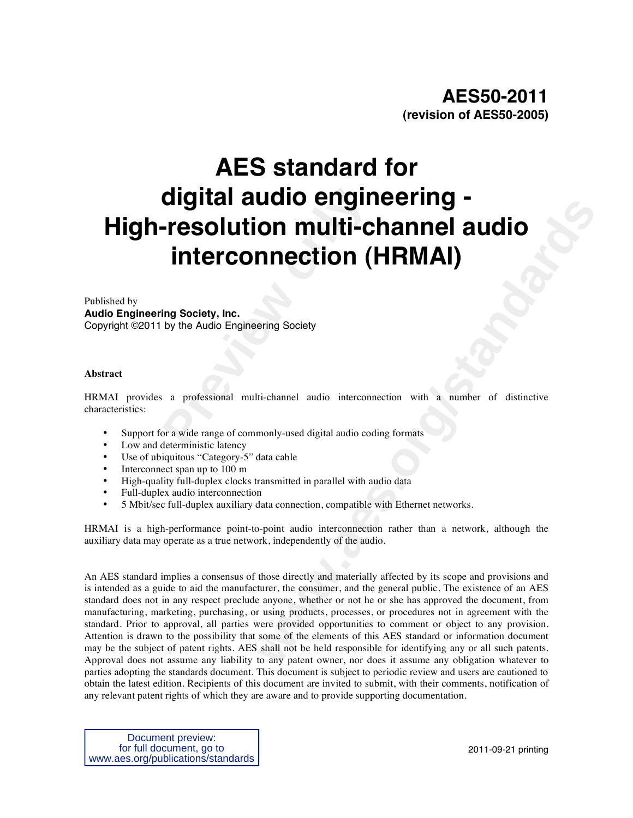# **Change of Science Addition in the Conduct of Science Addition (<br>
<b>Presolution multi-C**<br> **Interconnection (**<br> **Example Audio Engineering Society**<br> **And Additional multi-channel audio intercons**<br>
or a wide range of commonly **AES standard for digital audio engineering - High-resolution multi-channel audio interconnection (HRMAI)**

#### Published by

**Audio Engineering Society, Inc.** 

Copyright ©2011 by the Audio Engineering Society

#### **Abstract**

HRMAI provides a professional multi-channel audio interconnection with a number of distinctive characteristics:

- Support for a wide range of commonly-used digital audio coding formats
- Low and deterministic latency
- Use of ubiquitous "Category-5" data cable
- Interconnect span up to 100 m
- High-quality full-duplex clocks transmitted in parallel with audio data
- Full-duplex audio interconnection
- 5 Mbit/sec full-duplex auxiliary data connection, compatible with Ethernet networks.

HRMAI is a high-performance point-to-point audio interconnection rather than a network, although the auxiliary data may operate as a true network, independently of the audio.

**COMPRETTILE CHANNER COMPRETTING COMPRETTING COMPRETTING THE CONDITION (HRMAI)**<br>
Figure Society<br>
ti-channel audio interconnection with a number of distinctive<br>
monly-used digital audio coding formats<br>
that cable<br>
number of An AES standard implies a consensus of those directly and materially affected by its scope and provisions and is intended as a guide to aid the manufacturer, the consumer, and the general public. The existence of an AES standard does not in any respect preclude anyone, whether or not he or she has approved the document, from manufacturing, marketing, purchasing, or using products, processes, or procedures not in agreement with the standard. Prior to approval, all parties were provided opportunities to comment or object to any provision. Attention is drawn to the possibility that some of the elements of this AES standard or information document may be the subject of patent rights. AES shall not be held responsible for identifying any or all such patents. Approval does not assume any liability to any patent owner, nor does it assume any obligation whatever to parties adopting the standards document. This document is subject to periodic review and users are cautioned to obtain the latest edition. Recipients of this document are invited to submit, with their comments, notification of any relevant patent rights of which they are aware and to provide supporting documentation.

Document preview: for full document, go to www.aes.org/publications/standards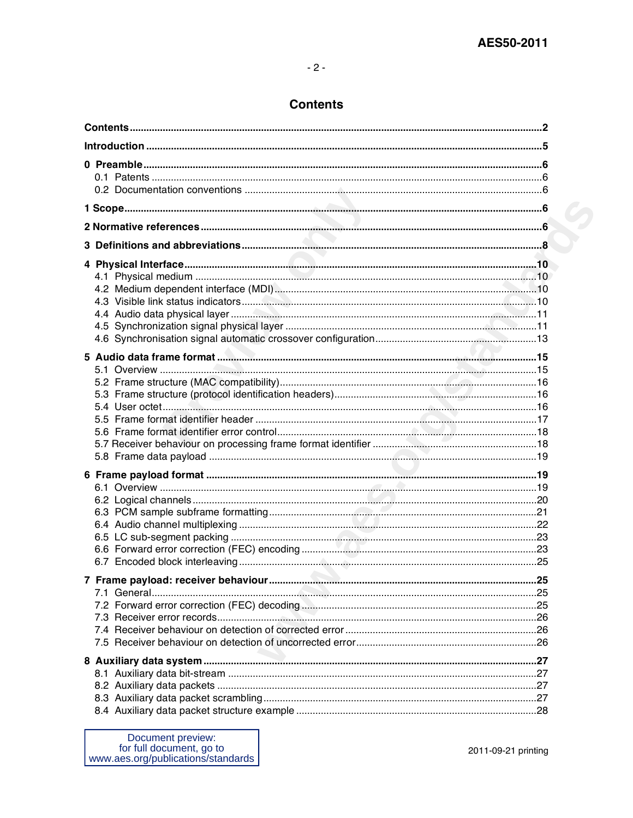# $-2-$

# **Contents**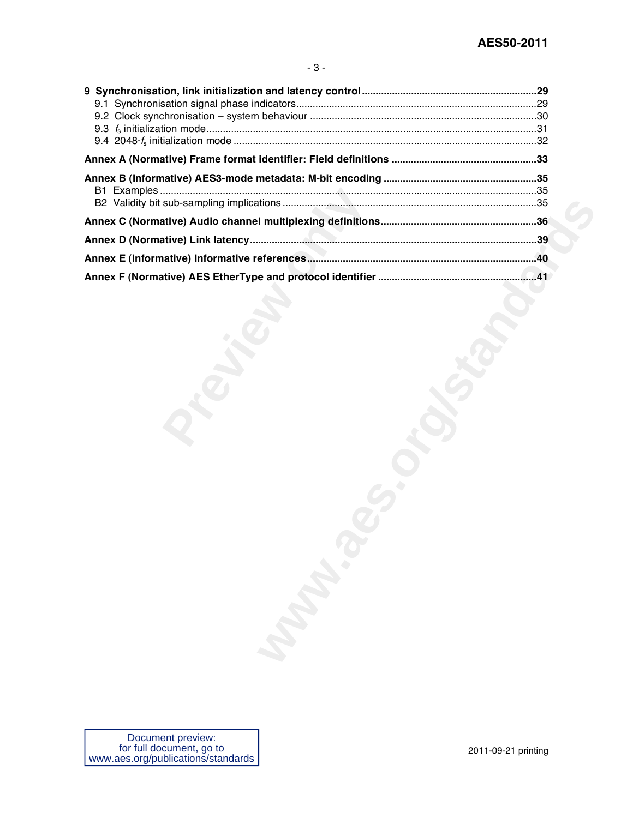| <b>Manufacture</b> |  |
|--------------------|--|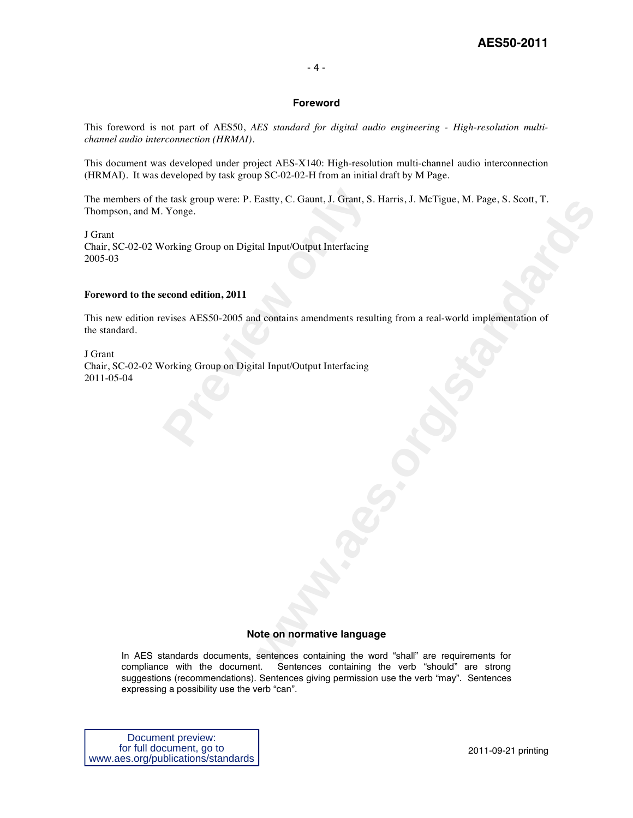#### - 4 -

#### **Foreword**

This foreword is not part of AES50, *AES standard for digital audio engineering - High-resolution multichannel audio interconnection (HRMAI)*.

This document was developed under project AES-X140: High-resolution multi-channel audio interconnection (HRMAI). It was developed by task group SC-02-02-H from an initial draft by M Page.

The members of the task group were: P. Eastty, C. Gaunt, J. Grant, S. Harris, J. McTigue, M. Page, S. Scott, T. Thompson, and M. Yonge.

J Grant Chair, SC-02-02 Working Group on Digital Input/Output Interfacing 2005-03

#### **Foreword to the second edition, 2011**

wastly, C. Galaint, J. Grant, S. Harris, J. Weirgue, M. Page, S. Scott, 1.<br>al Input/Output Interfacing<br>d. contains amendments resulting from a real-world implementation of<br>al Input/Output Interfacing<br>the multiplementary of This new edition revises AES50-2005 and contains amendments resulting from a real-world implementation of the standard.

reader task group were: P. Eastty, C. Gaunt, J. Grant, S. Yonge.<br>
Yorking Group on Digital Input/Output Interfacing<br> **econd edition, 2011**<br>
evises AES50-2005 and contains amendments resu<br>
Yorking Group on Digital Input/Out J Grant Chair, SC-02-02 Working Group on Digital Input/Output Interfacing 2011-05-04

#### **Note on normative language**

In AES standards documents, sentences containing the word "shall" are requirements for compliance with the document. Sentences containing the verb "should" are strong suggestions (recommendations). Sentences giving permission use the verb "may". Sentences expressing a possibility use the verb "can".

Document preview: for full document, go to www.aes.org/publications/standards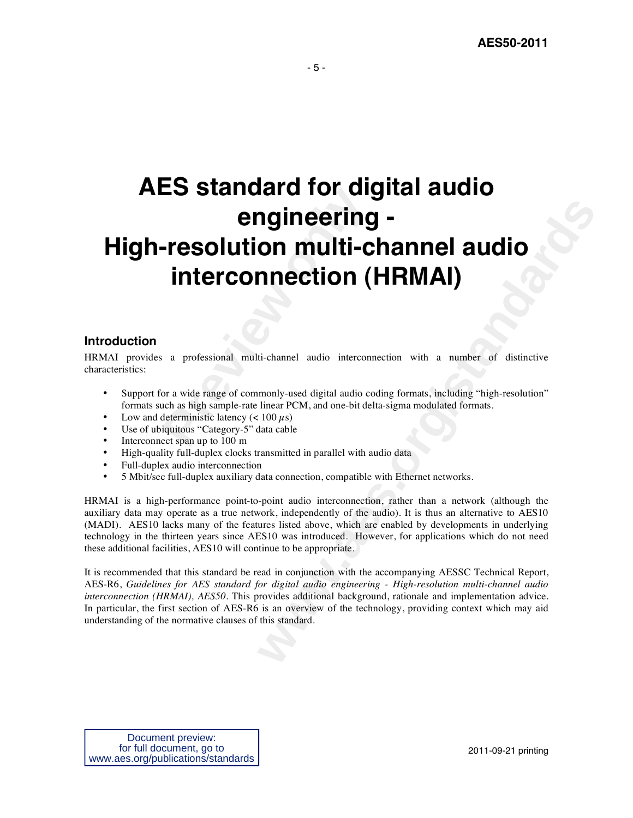# **Presolution multi-C<br>
<b>Presolution multi-C**<br> **interconnection (**<br> **a** professional multi-channel audio interconnection (<br>
or a wide range of commonly-used digital audio co<br>
or a wide range of commonly-used digital audio co **ngineering -**<br> **www.areston CHEMAN)**<br> **wealth Channel and CHEMAN)**<br>
<br> **weater of the constrained and constrained and constrained and constrained by the standard<br>
<br>
weare PCM, and one-bit delta sigma modulated formats.<br>
In AES standard for digital audio engineering - High-resolution multi-channel audio interconnection (HRMAI)**

# **Introduction**

HRMAI provides a professional multi-channel audio interconnection with a number of distinctive characteristics:

- Support for a wide range of commonly-used digital audio coding formats, including "high-resolution" formats such as high sample-rate linear PCM, and one-bit delta-sigma modulated formats.
- Low and deterministic latency  $(< 100 \mu s)$
- Use of ubiquitous "Category-5" data cable
- Interconnect span up to 100 m
- High-quality full-duplex clocks transmitted in parallel with audio data
- Full-duplex audio interconnection
- 5 Mbit/sec full-duplex auxiliary data connection, compatible with Ethernet networks.

HRMAI is a high-performance point-to-point audio interconnection, rather than a network (although the auxiliary data may operate as a true network, independently of the audio). It is thus an alternative to AES10 (MADI). AES10 lacks many of the features listed above, which are enabled by developments in underlying technology in the thirteen years since AES10 was introduced. However, for applications which do not need these additional facilities, AES10 will continue to be appropriate.

It is recommended that this standard be read in conjunction with the accompanying AESSC Technical Report, AES-R6, *Guidelines for AES standard for digital audio engineering - High-resolution multi-channel audio interconnection (HRMAI), AES50*. This provides additional background, rationale and implementation advice. In particular, the first section of AES-R6 is an overview of the technology, providing context which may aid understanding of the normative clauses of this standard.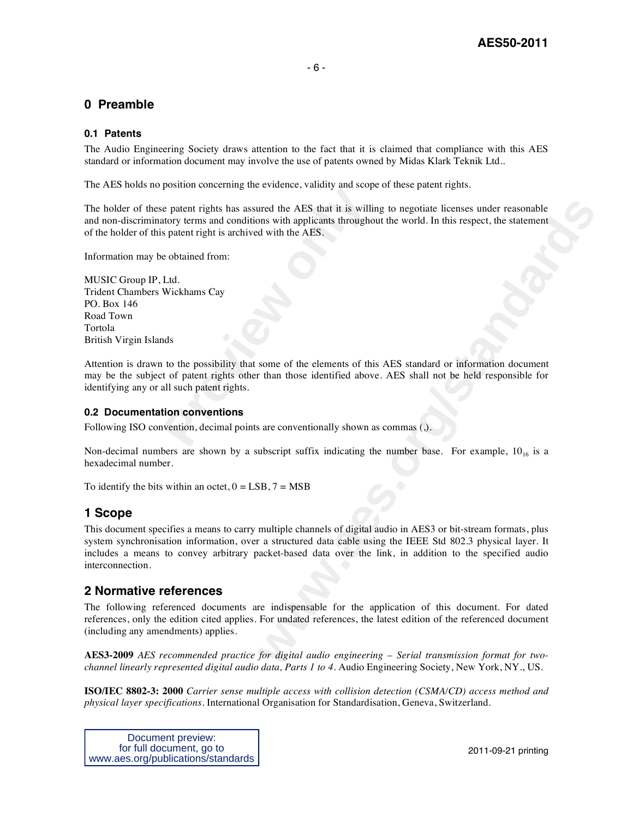# **0 Preamble**

#### **0.1 Patents**

The Audio Engineering Society draws attention to the fact that it is claimed that compliance with this AES standard or information document may involve the use of patents owned by Midas Klark Teknik Ltd..

The AES holds no position concerning the evidence, validity and scope of these patent rights.

**Preshind ventering and venterity, valually and step<br>
<b>Preshind ventering and vertex computer**<br> **Preshind the AES** that it is will<br> **Preshind form**<br> **Preshind it is anchived with the AES.**<br> **Preshind from:**<br> **Preshind from** The holder of these patent rights has assured the AES that it is willing to negotiate licenses under reasonable and non-discriminatory terms and conditions with applicants throughout the world. In this respect, the statement of the holder of this patent right is archived with the AES.

Information may be obtained from:

MUSIC Group IP, Ltd. Trident Chambers Wickhams Cay PO. Box 146 Road Town Tortola British Virgin Islands

Attention is drawn to the possibility that some of the elements of this AES standard or information document may be the subject of patent rights other than those identified above. AES shall not be held responsible for identifying any or all such patent rights.

#### **0.2 Documentation conventions**

Following ISO convention, decimal points are conventionally shown as commas (,).

Non-decimal numbers are shown by a subscript suffix indicating the number base. For example,  $10_{16}$  is a hexadecimal number.

To identify the bits within an octet,  $0 = LSB$ ,  $7 = MSB$ 

# **1 Scope**

are the AES that it is willing to negotiate licenses under reasonable<br>ans with applicants throughout the world. In this respect, the statement<br>with the AFS.<br>standard or information document<br>than those identified above. AES This document specifies a means to carry multiple channels of digital audio in AES3 or bit-stream formats, plus system synchronisation information, over a structured data cable using the IEEE Std 802.3 physical layer. It includes a means to convey arbitrary packet-based data over the link, in addition to the specified audio interconnection.

# **2 Normative references**

The following referenced documents are indispensable for the application of this document. For dated references, only the edition cited applies. For undated references, the latest edition of the referenced document (including any amendments) applies.

**AES3-2009** *AES recommended practice for digital audio engineering – Serial transmission format for twochannel linearly represented digital audio data, Parts 1 to 4*. Audio Engineering Society, New York, NY., US.

**ISO/IEC 8802-3: 2000** *Carrier sense multiple access with collision detection (CSMA/CD) access method and physical layer specifications*. International Organisation for Standardisation, Geneva, Switzerland.